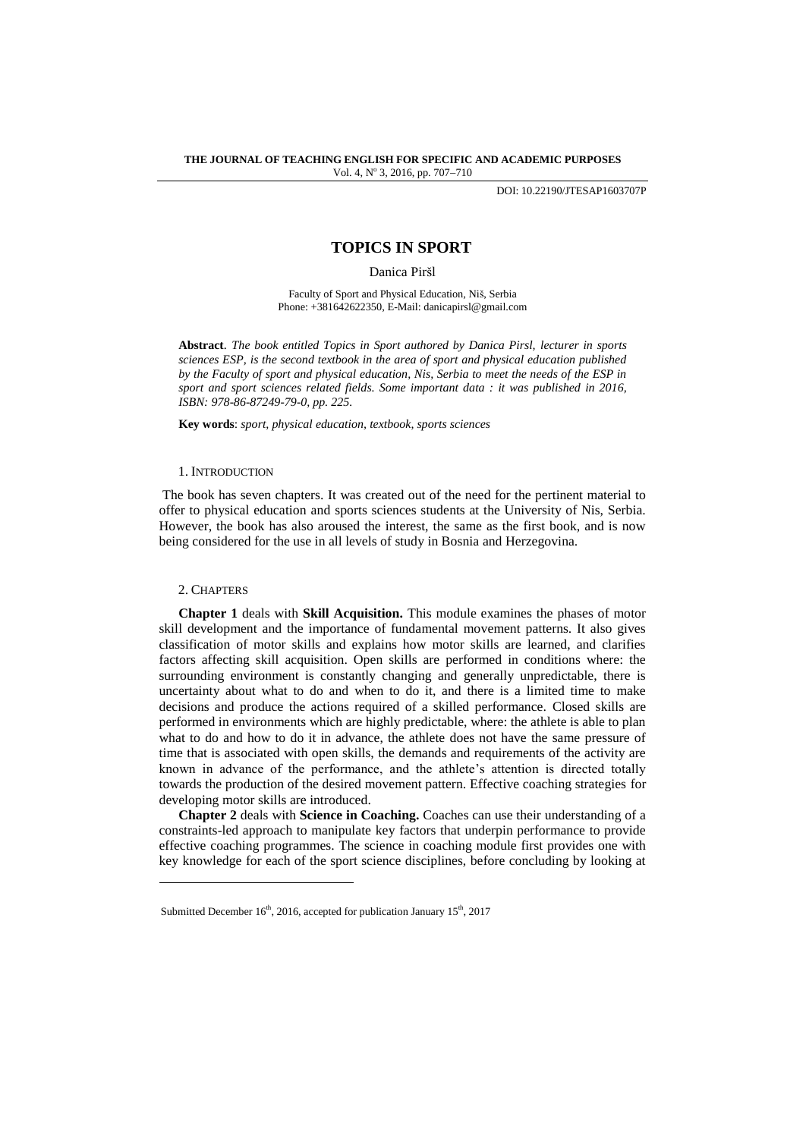DOI: 10.22190/JTESAP1603707P

# **TOPICS IN SPORT**

Danica Piršl

Faculty of Sport and Physical Education, Niš, Serbia Phone: +381642622350, E-Mail: danicapirsl@gmail.com

**Abstract**. *The book entitled Topics in Sport authored by Danica Pirsl, lecturer in sports sciences ESP, is the second textbook in the area of sport and physical education published by the Faculty of sport and physical education, Nis, Serbia to meet the needs of the ESP in sport and sport sciences related fields. Some important data : it was published in 2016, ISBN: 978-86-87249-79-0, pp. 225.*

**Key words**: *sport, physical education, textbook, sports sciences*

### 1. INTRODUCTION

The book has seven chapters. It was created out of the need for the pertinent material to offer to physical education and sports sciences students at the University of Nis, Serbia. However, the book has also aroused the interest, the same as the first book, and is now being considered for the use in all levels of study in Bosnia and Herzegovina.

## 2. CHAPTERS

l

**Chapter 1** deals with **Skill Acquisition.** This module examines the phases of motor skill development and the importance of fundamental movement patterns. It also gives classification of motor skills and explains how motor skills are learned, and clarifies factors affecting skill acquisition. Open skills are performed in conditions where: the surrounding environment is constantly changing and generally unpredictable, there is uncertainty about what to do and when to do it, and there is a limited time to make decisions and produce the actions required of a skilled performance. Closed skills are performed in environments which are highly predictable, where: the athlete is able to plan what to do and how to do it in advance, the athlete does not have the same pressure of time that is associated with open skills, the demands and requirements of the activity are known in advance of the performance, and the athlete's attention is directed totally towards the production of the desired movement pattern. Effective coaching strategies for developing motor skills are introduced.

**Chapter 2** deals with **Science in Coaching.** Coaches can use their understanding of a constraints-led approach to manipulate key factors that underpin performance to provide effective coaching programmes. The science in coaching module first provides one with key knowledge for each of the sport science disciplines, before concluding by looking at

Submitted December 16<sup>th</sup>, 2016, accepted for publication January 15<sup>th</sup>, 2017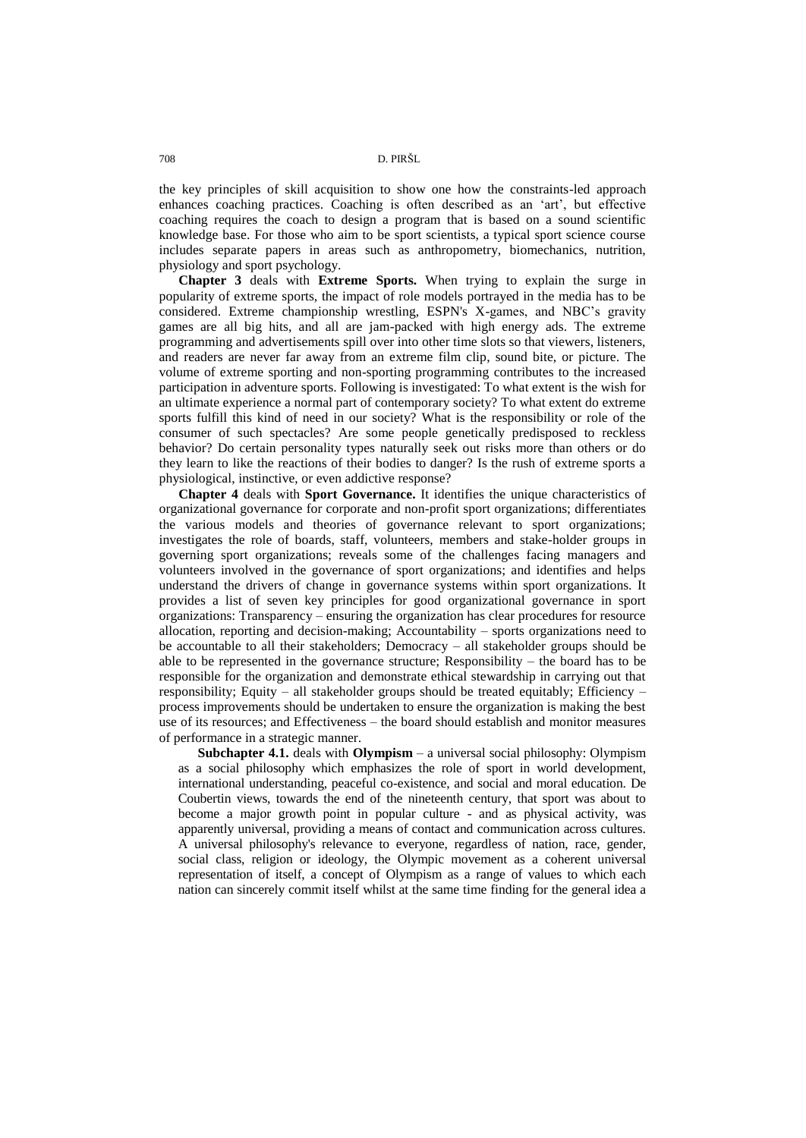the key principles of skill acquisition to show one how the constraints-led approach enhances coaching practices. Coaching is often described as an 'art', but effective coaching requires the coach to design a program that is based on a sound scientific knowledge base. For those who aim to be sport scientists, a typical sport science course includes separate papers in areas such as anthropometry, biomechanics, nutrition, physiology and sport psychology.

**Chapter 3** deals with **Extreme Sports.** When trying to explain the surge in popularity of extreme sports, the impact of role models portrayed in the media has to be considered. Extreme championship wrestling, ESPN's X-games, and NBC's gravity games are all big hits, and all are jam-packed with high energy ads. The extreme programming and advertisements spill over into other time slots so that viewers, listeners, and readers are never far away from an extreme film clip, sound bite, or picture. The volume of extreme sporting and non-sporting programming contributes to the increased participation in adventure sports. Following is investigated: To what extent is the wish for an ultimate experience a normal part of contemporary society? To what extent do extreme sports fulfill this kind of need in our society? What is the responsibility or role of the consumer of such spectacles? Are some people genetically predisposed to reckless behavior? Do certain personality types naturally seek out risks more than others or do they learn to like the reactions of their bodies to danger? Is the rush of extreme sports a physiological, instinctive, or even addictive response?

**Chapter 4** deals with **Sport Governance.** It identifies the unique characteristics of organizational governance for corporate and non-profit sport organizations; differentiates the various models and theories of governance relevant to sport organizations; investigates the role of boards, staff, volunteers, members and stake-holder groups in governing sport organizations; reveals some of the challenges facing managers and volunteers involved in the governance of sport organizations; and identifies and helps understand the drivers of change in governance systems within sport organizations. It provides a list of seven key principles for good organizational governance in sport organizations: Transparency – ensuring the organization has clear procedures for resource allocation, reporting and decision-making; Accountability – sports organizations need to be accountable to all their stakeholders; Democracy – all stakeholder groups should be able to be represented in the governance structure; Responsibility – the board has to be responsible for the organization and demonstrate ethical stewardship in carrying out that responsibility; Equity – all stakeholder groups should be treated equitably; Efficiency – process improvements should be undertaken to ensure the organization is making the best use of its resources; and Effectiveness – the board should establish and monitor measures of performance in a strategic manner.

**Subchapter 4.1.** deals with **Olympism** – a universal social philosophy: Olympism as a social philosophy which emphasizes the role of sport in world development, international understanding, peaceful co-existence, and social and moral education. De Coubertin views, towards the end of the nineteenth century, that sport was about to become a major growth point in popular culture - and as physical activity, was apparently universal, providing a means of contact and communication across cultures. A universal philosophy's relevance to everyone, regardless of nation, race, gender, social class, religion or ideology, the Olympic movement as a coherent universal representation of itself, a concept of Olympism as a range of values to which each nation can sincerely commit itself whilst at the same time finding for the general idea a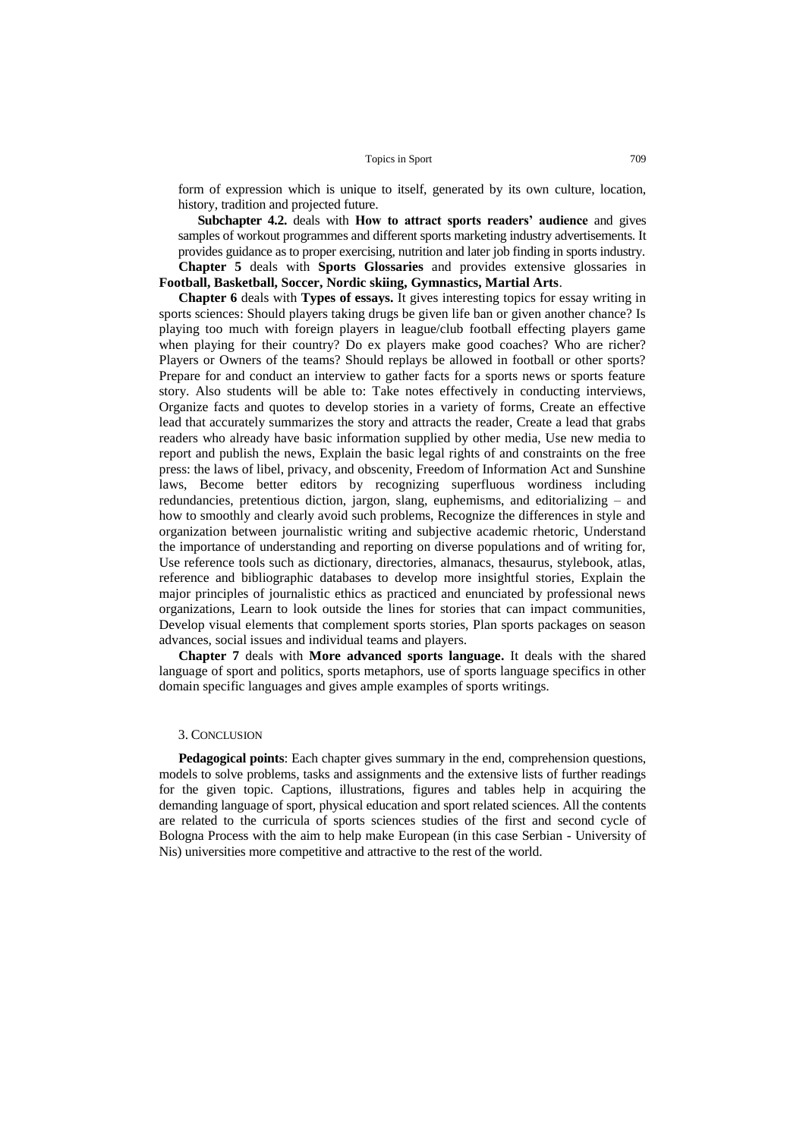form of expression which is unique to itself, generated by its own culture, location, history, tradition and projected future.

**Subchapter 4.2.** deals with **How to attract sports readers' audience** and gives samples of workout programmes and different sports marketing industry advertisements. It provides guidance as to proper exercising, nutrition and later job finding in sports industry. **Chapter 5** deals with **Sports Glossaries** and provides extensive glossaries in

# **Football, Basketball, Soccer, Nordic skiing, Gymnastics, Martial Arts**.

**Chapter 6** deals with **Types of essays.** It gives interesting topics for essay writing in sports sciences: Should players taking drugs be given life ban or given another chance? Is playing too much with foreign players in league/club football effecting players game when playing for their country? Do ex players make good coaches? Who are richer? Players or Owners of the teams? Should replays be allowed in football or other sports? Prepare for and conduct an interview to gather facts for a sports news or sports feature story. Also students will be able to: Take notes effectively in conducting interviews, Organize facts and quotes to develop stories in a variety of forms, Create an effective lead that accurately summarizes the story and attracts the reader, Create a lead that grabs readers who already have basic information supplied by other media, Use new media to report and publish the news, Explain the basic legal rights of and constraints on the free press: the laws of libel, privacy, and obscenity, Freedom of Information Act and Sunshine laws, Become better editors by recognizing superfluous wordiness including redundancies, pretentious diction, jargon, slang, euphemisms, and editorializing – and how to smoothly and clearly avoid such problems, Recognize the differences in style and organization between journalistic writing and subjective academic rhetoric, Understand the importance of understanding and reporting on diverse populations and of writing for, Use reference tools such as dictionary, directories, almanacs, thesaurus, stylebook, atlas, reference and bibliographic databases to develop more insightful stories, Explain the major principles of journalistic ethics as practiced and enunciated by professional news organizations, Learn to look outside the lines for stories that can impact communities, Develop visual elements that complement sports stories, Plan sports packages on season advances, social issues and individual teams and players.

**Chapter 7** deals with **More advanced sports language.** It deals with the shared language of sport and politics, sports metaphors, use of sports language specifics in other domain specific languages and gives ample examples of sports writings.

### 3. CONCLUSION

**Pedagogical points**: Each chapter gives summary in the end, comprehension questions, models to solve problems, tasks and assignments and the extensive lists of further readings for the given topic. Captions, illustrations, figures and tables help in acquiring the demanding language of sport, physical education and sport related sciences. All the contents are related to the curricula of sports sciences studies of the first and second cycle of Bologna Process with the aim to help make European (in this case Serbian - University of Nis) universities more competitive and attractive to the rest of the world.